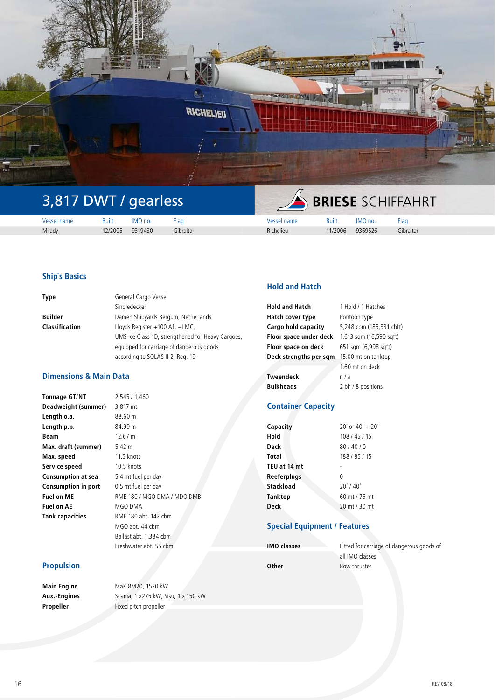

# 3,817 DWT / gearless

| 10C<br>iame | Buin   | no.     | -10<br>1dl | юш        | Built   | ' no    | $\sim$<br>'ld(      |  |  |
|-------------|--------|---------|------------|-----------|---------|---------|---------------------|--|--|
| Milady      | 2/2005 | 9319430 | iibraltar  | Richelieu | 11/2006 | 9369526 | $-11$<br>ົ ibralta⊾ |  |  |

# **Ship`s Basics**

| <b>Type</b>           | General Cargo Vessel                              |
|-----------------------|---------------------------------------------------|
|                       | Singledecker                                      |
| <b>Builder</b>        | Damen Shipyards Bergum, Netherlands               |
| <b>Classification</b> | Lloyds Register +100 A1, +LMC,                    |
|                       | UMS Ice Class 1D, strengthened for Heavy Cargoes, |
|                       | equipped for carriage of dangerous goods          |
|                       | according to SOLAS II-2, Reg. 19                  |

**Tonnage GT/NT** 2,545 / 1,460 **Deadweight (summer)** 3,817 mt

# **Dimensions & Main Data**

| <b>Tonnage GT/NT</b>       |
|----------------------------|
| Deadweight (summer)        |
| Length o.a.                |
| Length p.p.                |
| Beam                       |
| Max. draft (summer)        |
| Max. speed                 |
| Service speed              |
| <b>Consumption at sea</b>  |
| <b>Consumption in port</b> |
| <b>Fuel on ME</b>          |
| <b>Fuel on AE</b>          |
| <b>Tank capacities</b>     |
|                            |

**Length o.a.** 88.60 m **Length p.p.** 84.99 m **Beam** 12.67 m **5.42 m 11.5 knots 10.5 knots** 5.4 mt fuel per day 0.5 mt fuel per day **Fuel on ME** RME 180 / MGO DMA / MDO DMB **Fuel on AE** MGO DMA **Tank capacities** RME 180 abt. 142 cbm MGO abt. 44 cbm Ballast abt. 1.384 cbm Freshwater abt. 55 cbm

# **Propulsion**

**Main Engine** MaK 8M20, 1520 kW

**Aux.-Engines** Scania, 1 x275 kW; Sisu, 1 x 150 kW **Propeller** Fixed pitch propeller

# **Hold and Hatch**

| <b>Hold and Hatch</b>  | 1 Hold / 1 Hatches       |
|------------------------|--------------------------|
| Hatch cover type       | Pontoon type             |
| Cargo hold capacity    | 5,248 cbm (185,331 cbft) |
| Floor space under deck | 1,613 sqm (16,590 sqft)  |
| Floor space on deck    | 651 sqm (6,998 sqft)     |
| Deck strengths per sqm | 15.00 mt on tanktop      |
|                        | 1.60 mt on deck          |
| <b>Tweendeck</b>       | n/a                      |
| <b>Bulkheads</b>       | 2 bh / 8 positions       |

# **Container Capacity**

| Capacity     | $20'$ or $40' + 20'$ |
|--------------|----------------------|
| Hold         | 108/45/15            |
| Deck         | 80/40/0              |
| Total        | 188 / 85 / 15        |
| TEU at 14 mt |                      |
| Reeferplugs  | 0                    |
| Stackload    | $20'$ / 40'          |
| Tanktop      | 60 mt / 75 mt        |
| <b>Deck</b>  | 20 mt / 30 mt        |

## **Special Equipment / Features**

| <b>IMO classes</b> |  |
|--------------------|--|
|                    |  |
| Other              |  |

Fitted for carriage of dangerous goods of all IMO classes Bow thruster